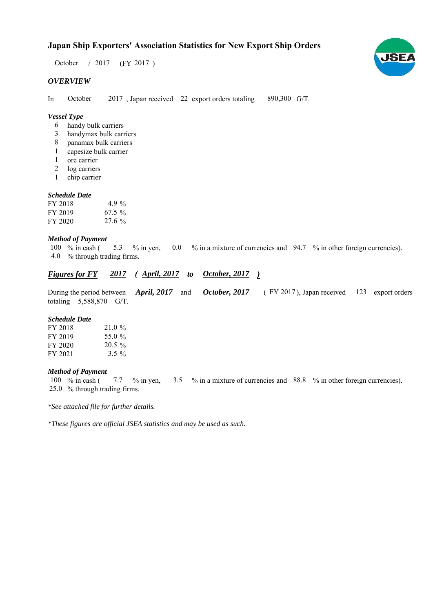# **Japan Ship Exporters' Association Statistics for New Export Ship Orders**

 $/ 2017$  (FY 2017) October / 2017

## *OVERVIEW*

In October 2017, Japan received 22 export orders totaling 890,300 G/T. October

## *Vessel Type*

- handy bulk carriers 6
- handymax bulk carriers 3
- panamax bulk carriers 8
- capesize bulk carrier 1
- ore carrier 1
- log carriers 2
- chip carrier 1

#### *Schedule Date*

| FY 2018 | 4.9 %     |
|---------|-----------|
| FY 2019 | $67.5 \%$ |
| FY 2020 | 27.6%     |

#### *Method of Payment*

% in cash ( $\frac{5.3}{8}$  % in yen, 0.0 % in a mixture of currencies and 94.7 % in other foreign currencies). % through trading firms. 4.0 100  $%$  in cash ( 5.3

### *<u>Figures for FY 2017 (April, 2017 to October, 2017)</u>*

During the period between *April, 2017* and *October, 2017* (FY 2017), Japan received 123 export orders totaling  $5,588,870$  G/T. *October, 2017* FY 2017), Japan received 123

#### *Schedule Date*

| FY 2018 | 21.0%     |
|---------|-----------|
| FY 2019 | 55.0 %    |
| FY 2020 | $20.5 \%$ |
| FY 2021 | $3.5\%$   |

#### *Method of Payment*

100 % in cash (7.7 % in yen, 3.5 % in a mixture of currencies and 88.8 % in other foreign currencies). % through trading firms. 25.0

*\*See attached file for further details.*

*\*These figures are official JSEA statistics and may be used as such.*

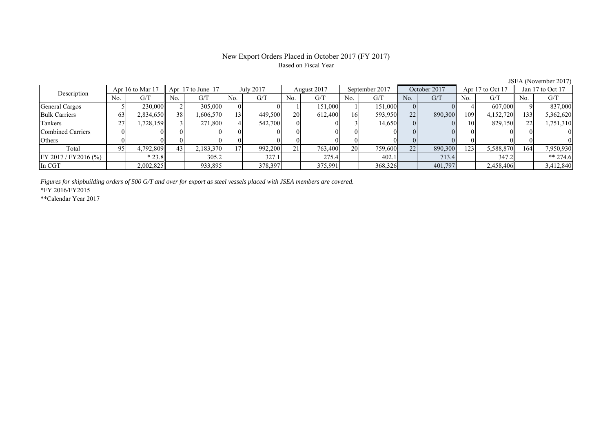## New Export Orders Placed in October 2017 (FY 2017) Based on Fiscal Year

| Description          |     | Apr 16 to Mar 17 |     | Apr 17 to June 17 |     | July 2017 |     | August 2017 |     | September 2017 |     | October 2017 |     | Apr 17 to Oct 17 |     | Jan 17 to Oct 17 |
|----------------------|-----|------------------|-----|-------------------|-----|-----------|-----|-------------|-----|----------------|-----|--------------|-----|------------------|-----|------------------|
|                      | No. | G/T              | No. | G/T               | No. | G/T       | No. | G/T         | No. | G/T            | No. | G/T          | No. | G/T              | No. | G/T              |
| General Cargos       |     | 230,000          |     | 305,000           |     |           |     | 151,000     |     | 151,000        |     |              |     | 607,000          |     | 837,000          |
| <b>Bulk Carriers</b> | 63  | 2,834,650        | 38  | 1,606,570         | 131 | 449,500   | 20  | 612,400     | 16  | 593,950        | 22  | 890,300      | 109 | 4,152,720        | 133 | 5,362,620        |
| Tankers              |     | 1,728,159        |     | 271,800           |     | 542,700   |     |             |     | 14,650         |     |              | 10  | 829,150          |     | 1,751,310        |
| Combined Carriers    |     |                  |     |                   |     |           |     |             |     |                |     |              |     |                  |     |                  |
| Others               |     |                  |     |                   |     |           |     |             |     |                |     |              |     |                  |     |                  |
| Total                | 95  | 4,792,809        | 43  | 2,183,370         |     | 992,200   | 21  | 763,400     | 20  | 759,600        | 22  | 890,300      | 123 | 5,588,870        | 164 | 7,950,930        |
| FY 2017/FY2016 (%)   |     | $*23.8$          |     | 305.2             |     | 327.1     |     | 275.4       |     | 402.1          |     | 713.4        |     | 347.2            |     | ** 274.6         |
| In CGT               |     | 2,002,825        |     | 933,895           |     | 378,397   |     | 375,991     |     | 368,326        |     | 401,797      |     | 2,458,406        |     | 3,412,840        |

*Figures for shipbuilding orders of 500 G/T and over for export as steel vessels placed with JSEA members are covered.*

\*FY 2016/FY2015

\*\*Calendar Year 2017

JSEA (November 2017)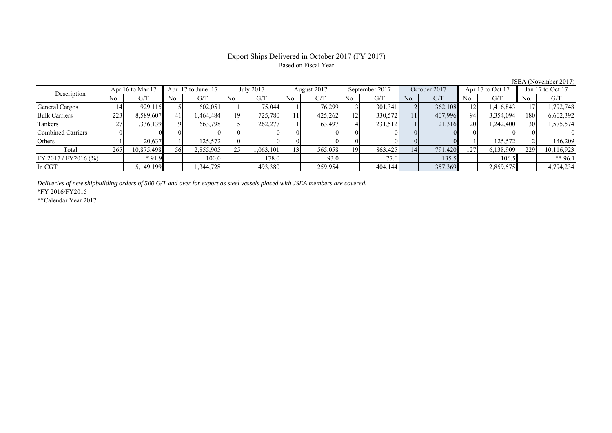## Export Ships Delivered in October 2017 (FY 2017) Based on Fiscal Year

| Description          |     | Apr $16$ to Mar $17$ |     | Apr 17 to June 17 |     | <b>July 2017</b>        |     | August 2017 |                 | September 2017 |          | October 2017 |     | Apr $17$ to Oct $17$ |     | Jan 17 to Oct 17 |
|----------------------|-----|----------------------|-----|-------------------|-----|-------------------------|-----|-------------|-----------------|----------------|----------|--------------|-----|----------------------|-----|------------------|
|                      | No. | G/T                  | No. | G/T               | No. | $\mathrm{G}/\mathrm{T}$ | No. | G/T         | No.             | G/T            | No.      | G/T          | No. | G/T                  | No. | G/T              |
| General Cargos       |     | 929,115              |     | 602,051           |     | 75,044                  |     | 76,299      |                 | 301,341        |          | 362,108      |     | 1,416,843            |     | 1,792,748        |
| <b>Bulk Carriers</b> | 223 | 8,589,607            | 41  | ,464,484          | 19  | 725,780                 |     | 425,262     | 12 <sup>1</sup> | 330,572        | 11       | 407,996      | 94  | 3,354,094            | 180 | 6,602,392        |
| Tankers              |     | 1,336,139            |     | 663,798           |     | 262,277                 |     | 63,497      |                 | 231,512        |          | 21,316       | 20  | 1,242,400            | 30  | 1,575,574        |
| Combined Carriers    |     |                      |     |                   |     |                         |     | $\Omega$    |                 |                | $\Omega$ |              |     |                      |     |                  |
| Others               |     | 20,637               |     | 125.572           |     |                         |     | 01          |                 |                |          |              |     | 125.572              |     | 146.209          |
| Total                | 265 | 10,875,498           | 56  | 2,855,905         | 25  | 1,063,101               |     | 565,058     | 19              | 863,425        | 14       | 791,420      | 127 | 6,138,909            | 229 | 10,116,923       |
| FY 2017 / FY2016 (%) |     | $*91.9$              |     | 100.0             |     | 178.0                   |     | 93.0        |                 | 77.0           |          | 135.5        |     | 106.5                |     | ** 96.1          |
| In CGT               |     | 5,149,199            |     | .344,728          |     | 493,380                 |     | 259,954     |                 | 404,144        |          | 357,369      |     | 2,859,575            |     | 4,794,234        |

*Deliveries of new shipbuilding orders of 500 G/T and over for export as steel vessels placed with JSEA members are covered.*

\*FY 2016/FY2015

\*\*Calendar Year 2017

JSEA (November 2017)